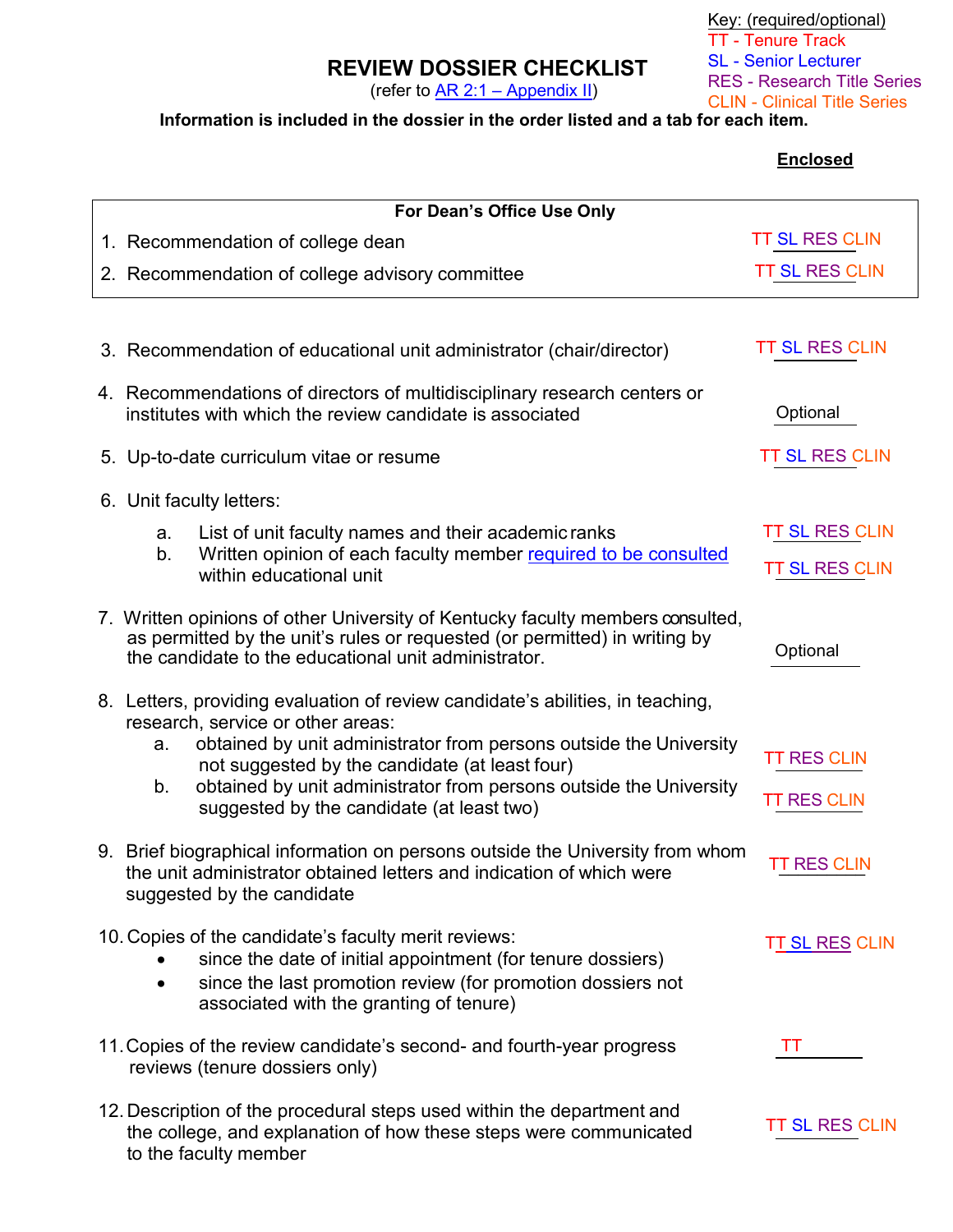## **REVIEW DOSSIER CHECKLIST**

(refer to  $AR 2:1 - Appendix II$ )

Key: (required/optional) TT - Tenure Track SL - Senior Lecturer RES - Research Title Series CLIN - Clinical Title Series

## **Information is included in the dossier in the order listed and a tab for each item.**

## **Enclosed**

| For Dean's Office Use Only |                                                                                                                                                                      |                                                                                                                                                                                                                               |                        |  |
|----------------------------|----------------------------------------------------------------------------------------------------------------------------------------------------------------------|-------------------------------------------------------------------------------------------------------------------------------------------------------------------------------------------------------------------------------|------------------------|--|
|                            |                                                                                                                                                                      | 1. Recommendation of college dean                                                                                                                                                                                             | <b>TT SL RES CLIN</b>  |  |
|                            |                                                                                                                                                                      | 2. Recommendation of college advisory committee                                                                                                                                                                               | <b>TT SL RES CLIN</b>  |  |
|                            |                                                                                                                                                                      |                                                                                                                                                                                                                               |                        |  |
|                            |                                                                                                                                                                      | 3. Recommendation of educational unit administrator (chair/director)                                                                                                                                                          | <b>TT SL RES CLIN</b>  |  |
|                            | 4. Recommendations of directors of multidisciplinary research centers or<br>institutes with which the review candidate is associated                                 | Optional                                                                                                                                                                                                                      |                        |  |
|                            |                                                                                                                                                                      | 5. Up-to-date curriculum vitae or resume                                                                                                                                                                                      | <b>TT SL RES CLIN</b>  |  |
|                            | 6. Unit faculty letters:                                                                                                                                             |                                                                                                                                                                                                                               |                        |  |
|                            | a.<br>b.                                                                                                                                                             | List of unit faculty names and their academic ranks                                                                                                                                                                           | <b>TT SL RES CLIN</b>  |  |
|                            |                                                                                                                                                                      | Written opinion of each faculty member required to be consulted<br>within educational unit                                                                                                                                    | <b>TT SL RES CLIN</b>  |  |
|                            |                                                                                                                                                                      | 7. Written opinions of other University of Kentucky faculty members consulted,<br>as permitted by the unit's rules or requested (or permitted) in writing by<br>the candidate to the educational unit administrator.          | Optional               |  |
|                            |                                                                                                                                                                      | 8. Letters, providing evaluation of review candidate's abilities, in teaching,                                                                                                                                                |                        |  |
|                            | a.                                                                                                                                                                   | research, service or other areas:<br>obtained by unit administrator from persons outside the University<br>not suggested by the candidate (at least four)                                                                     | <b>TT RES CLIN</b>     |  |
|                            | b.                                                                                                                                                                   | obtained by unit administrator from persons outside the University<br>suggested by the candidate (at least two)                                                                                                               | <b>TT RES CLIN</b>     |  |
|                            |                                                                                                                                                                      | 9. Brief biographical information on persons outside the University from whom<br>the unit administrator obtained letters and indication of which were<br>suggested by the candidate                                           | <b>TT RES CLIN</b>     |  |
|                            |                                                                                                                                                                      | 10. Copies of the candidate's faculty merit reviews:<br>since the date of initial appointment (for tenure dossiers)<br>since the last promotion review (for promotion dossiers not<br>associated with the granting of tenure) | T <u>T SL RES</u> CLIN |  |
|                            |                                                                                                                                                                      | 11. Copies of the review candidate's second- and fourth-year progress<br>reviews (tenure dossiers only)                                                                                                                       | ТT                     |  |
|                            | 12. Description of the procedural steps used within the department and<br>the college, and explanation of how these steps were communicated<br>to the faculty member | <b>TT SL RES CLIN</b>                                                                                                                                                                                                         |                        |  |